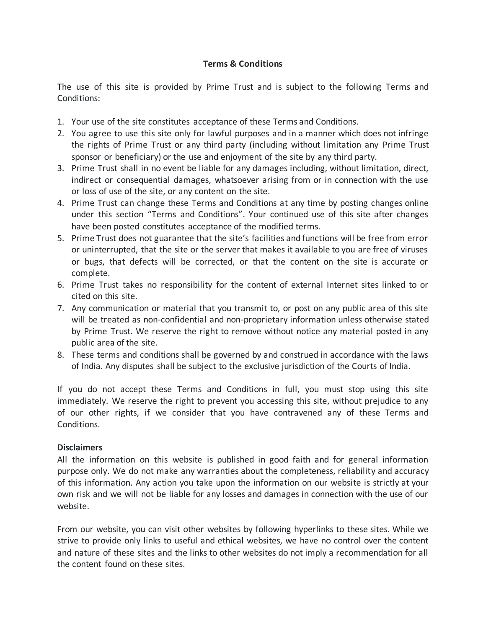## **Terms & Conditions**

The use of this site is provided by Prime Trust and is subject to the following Terms and Conditions:

- 1. Your use of the site constitutes acceptance of these Terms and Conditions.
- 2. You agree to use this site only for lawful purposes and in a manner which does not infringe the rights of Prime Trust or any third party (including without limitation any Prime Trust sponsor or beneficiary) or the use and enjoyment of the site by any third party.
- 3. Prime Trust shall in no event be liable for any damages including, without limitation, direct, indirect or consequential damages, whatsoever arising from or in connection with the use or loss of use of the site, or any content on the site.
- 4. Prime Trust can change these Terms and Conditions at any time by posting changes online under this section "Terms and Conditions". Your continued use of this site after changes have been posted constitutes acceptance of the modified terms.
- 5. Prime Trust does not guarantee that the site's facilities and functions will be free from error or uninterrupted, that the site or the server that makes it available to you are free of viruses or bugs, that defects will be corrected, or that the content on the site is accurate or complete.
- 6. Prime Trust takes no responsibility for the content of external Internet sites linked to or cited on this site.
- 7. Any communication or material that you transmit to, or post on any public area of this site will be treated as non-confidential and non-proprietary information unless otherwise stated by Prime Trust. We reserve the right to remove without notice any material posted in any public area of the site.
- 8. These terms and conditions shall be governed by and construed in accordance with the laws of India. Any disputes shall be subject to the exclusive jurisdiction of the Courts of India.

If you do not accept these Terms and Conditions in full, you must stop using this site immediately. We reserve the right to prevent you accessing this site, without prejudice to any of our other rights, if we consider that you have contravened any of these Terms and Conditions.

## **Disclaimers**

All the information on this website is published in good faith and for general information purpose only. We do not make any warranties about the completeness, reliability and accuracy of this information. Any action you take upon the information on our website is strictly at your own risk and we will not be liable for any losses and damages in connection with the use of our website.

From our website, you can visit other websites by following hyperlinks to these sites. While we strive to provide only links to useful and ethical websites, we have no control over the content and nature of these sites and the links to other websites do not imply a recommendation for all the content found on these sites.